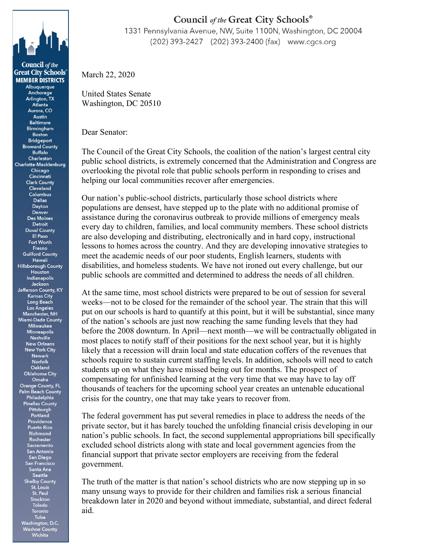

**Council** of the **Great City Schools® MEMBER DISTRICTS** Albuquerque Anchorage Arlington, TX Atlanta Aurora, CO Austin **Baltimore Birmingham Boston** Bridgeport **Broward County Buffalo Charleston** Charlotte-Mecklenburg Chicago Cincinnati **Clark County** Cleveland Columbus Dallas Dayton Denver **Des Moines** Detroit **Duval County** El Paso Fort Worth Fresno **Guilford County** Hawaii **Hillsborough County** Houston Indianapolis Jackson Jefferson County, KY **Kansas City** Long Beach Los Angeles Manchester, NH **Miami-Dade County** Milwaukee **Minneapolis** Nashville **New Orleans New York City Newark** Norfolk Oakland **Oklahoma City** Omaha **Orange County, FL Palm Beach County** Philadelphia Pinellas County Pittsburgh Portland Providence **Puerto Rico** Richmond Rochester Sacramento San Antonio San Diego San Franci isco Santa Ana Seattle **Shelby County** St. Louis St. Paul Stockton **Toledo** Toronto

> Tulsa Washington, D.C. Washoe County<br>Wichita

## Council of the Great City Schools®

1331 Pennsylvania Avenue, NW, Suite 1100N, Washington, DC 20004 (202) 393-2427 (202) 393-2400 (fax) www.cgcs.org

March 22, 2020

United States Senate Washington, DC 20510

Dear Senator:

The Council of the Great City Schools, the coalition of the nation's largest central city public school districts, is extremely concerned that the Administration and Congress are overlooking the pivotal role that public schools perform in responding to crises and helping our local communities recover after emergencies.

Our nation's public-school districts, particularly those school districts where populations are densest, have stepped up to the plate with no additional promise of assistance during the coronavirus outbreak to provide millions of emergency meals every day to children, families, and local community members. These school districts are also developing and distributing, electronically and in hard copy, instructional lessons to homes across the country. And they are developing innovative strategies to meet the academic needs of our poor students, English learners, students with disabilities, and homeless students. We have not ironed out every challenge, but our public schools are committed and determined to address the needs of all children.

At the same time, most school districts were prepared to be out of session for several weeks—not to be closed for the remainder of the school year. The strain that this will put on our schools is hard to quantify at this point, but it will be substantial, since many of the nation's schools are just now reaching the same funding levels that they had before the 2008 downturn. In April—next month—we will be contractually obligated in most places to notify staff of their positions for the next school year, but it is highly likely that a recession will drain local and state education coffers of the revenues that schools require to sustain current staffing levels. In addition, schools will need to catch students up on what they have missed being out for months. The prospect of compensating for unfinished learning at the very time that we may have to lay off thousands of teachers for the upcoming school year creates an untenable educational crisis for the country, one that may take years to recover from.

The federal government has put several remedies in place to address the needs of the private sector, but it has barely touched the unfolding financial crisis developing in our nation's public schools. In fact, the second supplemental appropriations bill specifically excluded school districts along with state and local government agencies from the financial support that private sector employers are receiving from the federal government.

The truth of the matter is that nation's school districts who are now stepping up in so many unsung ways to provide for their children and families risk a serious financial breakdown later in 2020 and beyond without immediate, substantial, and direct federal aid.